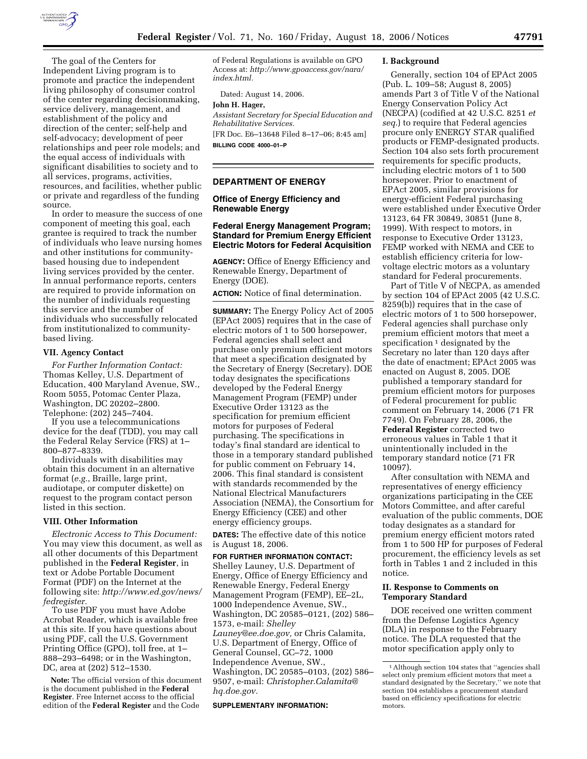

The goal of the Centers for Independent Living program is to promote and practice the independent living philosophy of consumer control of the center regarding decisionmaking, service delivery, management, and establishment of the policy and direction of the center; self-help and self-advocacy; development of peer relationships and peer role models; and the equal access of individuals with significant disabilities to society and to all services, programs, activities, resources, and facilities, whether public or private and regardless of the funding source.

In order to measure the success of one component of meeting this goal, each grantee is required to track the number of individuals who leave nursing homes and other institutions for communitybased housing due to independent living services provided by the center. In annual performance reports, centers are required to provide information on the number of individuals requesting this service and the number of individuals who successfully relocated from institutionalized to communitybased living.

#### **VII. Agency Contact**

*For Further Information Contact:*  Thomas Kelley, U.S. Department of Education, 400 Maryland Avenue, SW., Room 5055, Potomac Center Plaza, Washington, DC 20202–2800. Telephone: (202) 245–7404.

If you use a telecommunications device for the deaf (TDD), you may call the Federal Relay Service (FRS) at 1– 800–877–8339.

Individuals with disabilities may obtain this document in an alternative format (*e.g.*, Braille, large print, audiotape, or computer diskette) on request to the program contact person listed in this section.

### **VIII. Other Information**

*Electronic Access to This Document:*  You may view this document, as well as all other documents of this Department published in the **Federal Register**, in text or Adobe Portable Document Format (PDF) on the Internet at the following site: *http://www.ed.gov/news/ fedregister.* 

To use PDF you must have Adobe Acrobat Reader, which is available free at this site. If you have questions about using PDF, call the U.S. Government Printing Office (GPO), toll free, at 1– 888–293–6498; or in the Washington, DC, area at (202) 512–1530.

**Note:** The official version of this document is the document published in the **Federal Register**. Free Internet access to the official edition of the **Federal Register** and the Code

of Federal Regulations is available on GPO Access at: *http://www.gpoaccess.gov/nara/ index.html.* 

Dated: August 14, 2006.

# **John H. Hager,**

*Assistant Secretary for Special Education and Rehabilitative Services.* 

[FR Doc. E6–13648 Filed 8–17–06; 8:45 am] **BILLING CODE 4000–01–P** 

#### **DEPARTMENT OF ENERGY**

### **Office of Energy Efficiency and Renewable Energy**

#### **Federal Energy Management Program; Standard for Premium Energy Efficient Electric Motors for Federal Acquisition**

**AGENCY:** Office of Energy Efficiency and Renewable Energy, Department of Energy (DOE).

**ACTION:** Notice of final determination.

**SUMMARY:** The Energy Policy Act of 2005 (EPAct 2005) requires that in the case of electric motors of 1 to 500 horsepower, Federal agencies shall select and purchase only premium efficient motors that meet a specification designated by the Secretary of Energy (Secretary). DOE today designates the specifications developed by the Federal Energy Management Program (FEMP) under Executive Order 13123 as the specification for premium efficient motors for purposes of Federal purchasing. The specifications in today's final standard are identical to those in a temporary standard published for public comment on February 14, 2006. This final standard is consistent with standards recommended by the National Electrical Manufacturers Association (NEMA), the Consortium for Energy Efficiency (CEE) and other energy efficiency groups.

**DATES:** The effective date of this notice is August 18, 2006.

**FOR FURTHER INFORMATION CONTACT:**  Shelley Launey, U.S. Department of Energy, Office of Energy Efficiency and Renewable Energy, Federal Energy Management Program (FEMP), EE–2L, 1000 Independence Avenue, SW., Washington, DC 20585–0121, (202) 586– 1573, e-mail: *Shelley Launey@ee.doe.gov,* or Chris Calamita, U.S. Department of Energy, Office of General Counsel, GC–72, 1000 Independence Avenue, SW., Washington, DC 20585–0103, (202) 586– 9507, e-mail: *Christopher.Calamita@ hq.doe.gov.* 

#### **SUPPLEMENTARY INFORMATION:**

#### **I. Background**

Generally, section 104 of EPAct 2005 (Pub. L. 109–58; August 8, 2005) amends Part 3 of Title V of the National Energy Conservation Policy Act (NECPA) (codified at 42 U.S.C. 8251 *et seq.*) to require that Federal agencies procure only ENERGY STAR qualified products or FEMP-designated products. Section 104 also sets forth procurement requirements for specific products, including electric motors of 1 to 500 horsepower. Prior to enactment of EPAct 2005, similar provisions for energy-efficient Federal purchasing were established under Executive Order 13123, 64 FR 30849, 30851 (June 8, 1999). With respect to motors, in response to Executive Order 13123, FEMP worked with NEMA and CEE to establish efficiency criteria for lowvoltage electric motors as a voluntary standard for Federal procurements.

Part of Title V of NECPA, as amended by section 104 of EPAct 2005 (42 U.S.C. 8259(b)) requires that in the case of electric motors of 1 to 500 horsepower, Federal agencies shall purchase only premium efficient motors that meet a specification  $\frac{1}{1}$  designated by the Secretary no later than 120 days after the date of enactment; EPAct 2005 was enacted on August 8, 2005. DOE published a temporary standard for premium efficient motors for purposes of Federal procurement for public comment on February 14, 2006 (71 FR 7749). On February 28, 2006, the **Federal Register** corrected two erroneous values in Table 1 that it unintentionally included in the temporary standard notice (71 FR 10097).

After consultation with NEMA and representatives of energy efficiency organizations participating in the CEE Motors Committee, and after careful evaluation of the public comments, DOE today designates as a standard for premium energy efficient motors rated from 1 to 500 HP for purposes of Federal procurement, the efficiency levels as set forth in Tables 1 and 2 included in this notice.

### **II. Response to Comments on Temporary Standard**

DOE received one written comment from the Defense Logistics Agency (DLA) in response to the February notice. The DLA requested that the motor specification apply only to

<sup>1</sup>Although section 104 states that ''agencies shall select only premium efficient motors that meet a standard designated by the Secretary,'' we note that section 104 establishes a procurement standard based on efficiency specifications for electric motors.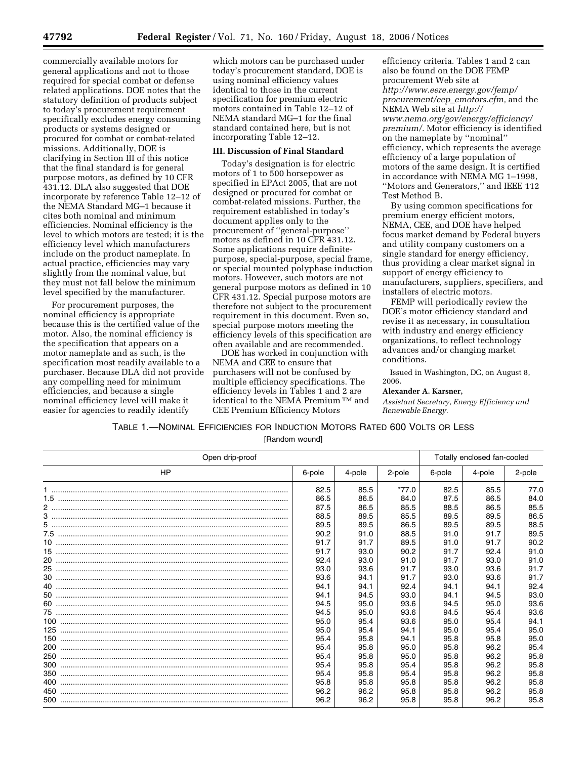commercially available motors for general applications and not to those required for special combat or defense related applications. DOE notes that the statutory definition of products subject to today's procurement requirement specifically excludes energy consuming products or systems designed or procured for combat or combat-related missions. Additionally, DOE is clarifying in Section III of this notice that the final standard is for general purpose motors, as defined by 10 CFR 431.12. DLA also suggested that DOE incorporate by reference Table 12–12 of the NEMA Standard MG–1 because it cites both nominal and minimum efficiencies. Nominal efficiency is the level to which motors are tested; it is the efficiency level which manufacturers include on the product nameplate. In actual practice, efficiencies may vary slightly from the nominal value, but they must not fall below the minimum level specified by the manufacturer.

For procurement purposes, the nominal efficiency is appropriate because this is the certified value of the motor. Also, the nominal efficiency is the specification that appears on a motor nameplate and as such, is the specification most readily available to a purchaser. Because DLA did not provide any compelling need for minimum efficiencies, and because a single nominal efficiency level will make it easier for agencies to readily identify

which motors can be purchased under today's procurement standard, DOE is using nominal efficiency values identical to those in the current specification for premium electric motors contained in Table 12–12 of NEMA standard MG–1 for the final standard contained here, but is not incorporating Table 12–12.

## **III. Discussion of Final Standard**

Today's designation is for electric motors of 1 to 500 horsepower as specified in EPAct 2005, that are not designed or procured for combat or combat-related missions. Further, the requirement established in today's document applies only to the procurement of ''general-purpose'' motors as defined in 10 CFR 431.12. Some applications require definitepurpose, special-purpose, special frame, or special mounted polyphase induction motors. However, such motors are not general purpose motors as defined in 10 CFR 431.12. Special purpose motors are therefore not subject to the procurement requirement in this document. Even so, special purpose motors meeting the efficiency levels of this specification are often available and are recommended.

DOE has worked in conjunction with NEMA and CEE to ensure that purchasers will not be confused by multiple efficiency specifications. The efficiency levels in Tables 1 and 2 are identical to the NEMA Premium TM and CEE Premium Efficiency Motors

efficiency criteria. Tables 1 and 2 can also be found on the DOE FEMP procurement Web site at *http://www.eere.energy.gov/femp/ procurement/eep*\_*emotors.cfm,* and the NEMA Web site at *http:// www.nema.org/gov/energy/efficiency/ premium/.* Motor efficiency is identified on the nameplate by ''nominal'' efficiency, which represents the average efficiency of a large population of motors of the same design. It is certified in accordance with NEMA MG 1–1998, ''Motors and Generators,'' and IEEE 112 Test Method B.

By using common specifications for premium energy efficient motors, NEMA, CEE, and DOE have helped focus market demand by Federal buyers and utility company customers on a single standard for energy efficiency, thus providing a clear market signal in support of energy efficiency to manufacturers, suppliers, specifiers, and installers of electric motors.

FEMP will periodically review the DOE's motor efficiency standard and revise it as necessary, in consultation with industry and energy efficiency organizations, to reflect technology advances and/or changing market conditions.

Issued in Washington, DC, on August 8,

### **Alexander A. Karsner,**

2006.

*Assistant Secretary, Energy Efficiency and Renewable Energy.* 

# TABLE 1.—NOMINAL EFFICIENCIES FOR INDUCTION MOTORS RATED 600 VOLTS OR LESS

[Random wound]

| Open drip-proof | Totally enclosed fan-cooled |        |         |        |        |        |
|-----------------|-----------------------------|--------|---------|--------|--------|--------|
| <b>HP</b>       | 6-pole                      | 4-pole | 2-pole  | 6-pole | 4-pole | 2-pole |
|                 | 82.5                        | 85.5   | $*77.0$ | 82.5   | 85.5   | 77.0   |
|                 | 86.5                        | 86.5   | 84.0    | 87.5   | 86.5   | 84.0   |
|                 | 87.5                        | 86.5   | 85.5    | 88.5   | 86.5   | 85.5   |
|                 | 88.5                        | 89.5   | 85.5    | 89.5   | 89.5   | 86.5   |
|                 | 89.5                        | 89.5   | 86.5    | 89.5   | 89.5   | 88.5   |
|                 | 90.2                        | 91.0   | 88.5    | 91.0   | 91.7   | 89.5   |
|                 | 91.7                        | 91.7   | 89.5    | 91.0   | 91.7   | 90.2   |
|                 | 91.7                        | 93.0   | 90.2    | 91.7   | 92.4   | 91.0   |
|                 | 92.4                        | 93.0   | 91.0    | 91.7   | 93.0   | 91.0   |
|                 | 93.0                        | 93.6   | 91.7    | 93.0   | 93.6   | 91.7   |
|                 | 93.6                        | 94.1   | 91.7    | 93.0   | 93.6   | 91.7   |
|                 | 94.1                        | 94.1   | 92.4    | 94.1   | 94.1   | 92.4   |
|                 | 94.1                        | 94.5   | 93.0    | 94.1   | 94.5   | 93.0   |
|                 | 94.5                        | 95.0   | 93.6    | 94.5   | 95.0   | 93.6   |
|                 | 94.5                        | 95.0   | 93.6    | 94.5   | 95.4   | 93.6   |
|                 | 95.0                        | 95.4   | 93.6    | 95.0   | 95.4   | 94.1   |
|                 | 95.0                        | 95.4   | 94.1    | 95.0   | 95.4   | 95.0   |
|                 | 95.4                        | 95.8   | 94.1    | 95.8   | 95.8   | 95.0   |
|                 | 95.4                        | 95.8   | 95.0    | 95.8   | 96.2   | 95.4   |
|                 | 95.4                        | 95.8   | 95.0    | 95.8   | 96.2   | 95.8   |
|                 | 95.4                        | 95.8   | 95.4    | 95.8   | 96.2   | 95.8   |
|                 | 95.4                        | 95.8   | 95.4    | 95.8   | 96.2   | 95.8   |
|                 | 95.8                        | 95.8   | 95.8    | 95.8   | 96.2   | 95.8   |
|                 | 96.2                        | 96.2   | 95.8    | 95.8   | 96.2   | 95.8   |
|                 | 96.2                        | 96.2   | 95.8    | 95.8   | 96.2   | 95.8   |